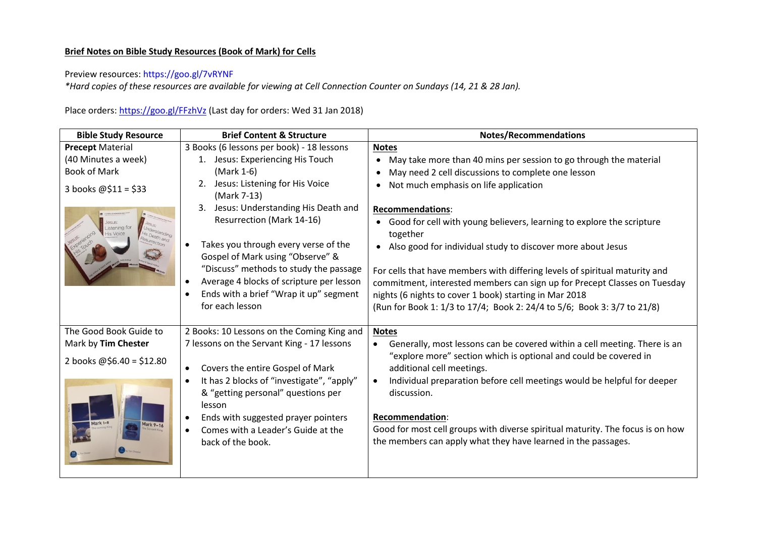## **Brief Notes on Bible Study Resources (Book of Mark) for Cells**

## Preview resources:<https://goo.gl/7vRYNF>

*\*Hard copies of these resources are available for viewing at Cell Connection Counter on Sundays (14, 21 & 28 Jan).* 

Place orders[: https://goo.gl/FFzhVz](https://goo.gl/FFzhVz) (Last day for orders: Wed 31 Jan 2018)

| <b>Bible Study Resource</b> | <b>Brief Content &amp; Structure</b>                                     | <b>Notes/Recommendations</b>                                                                   |
|-----------------------------|--------------------------------------------------------------------------|------------------------------------------------------------------------------------------------|
| <b>Precept Material</b>     | 3 Books (6 lessons per book) - 18 lessons                                | <b>Notes</b>                                                                                   |
| (40 Minutes a week)         | Jesus: Experiencing His Touch<br>1.                                      | May take more than 40 mins per session to go through the material                              |
| <b>Book of Mark</b>         | (Mark 1-6)                                                               | May need 2 cell discussions to complete one lesson                                             |
| 3 books $@$11 = $33$        | Jesus: Listening for His Voice<br>2.<br>(Mark 7-13)                      | Not much emphasis on life application<br>$\bullet$                                             |
|                             | Jesus: Understanding His Death and<br>3.                                 | <b>Recommendations:</b>                                                                        |
|                             | <b>Resurrection (Mark 14-16)</b>                                         | Good for cell with young believers, learning to explore the scripture<br>$\bullet$<br>together |
|                             | Takes you through every verse of the<br>Gospel of Mark using "Observe" & | Also good for individual study to discover more about Jesus<br>$\bullet$                       |
|                             | "Discuss" methods to study the passage                                   | For cells that have members with differing levels of spiritual maturity and                    |
|                             | Average 4 blocks of scripture per lesson                                 | commitment, interested members can sign up for Precept Classes on Tuesday                      |
|                             | Ends with a brief "Wrap it up" segment                                   | nights (6 nights to cover 1 book) starting in Mar 2018                                         |
|                             | for each lesson                                                          | (Run for Book 1: 1/3 to 17/4; Book 2: 24/4 to 5/6; Book 3: 3/7 to 21/8)                        |
| The Good Book Guide to      | 2 Books: 10 Lessons on the Coming King and                               | <b>Notes</b>                                                                                   |
| Mark by Tim Chester         | 7 lessons on the Servant King - 17 lessons                               | Generally, most lessons can be covered within a cell meeting. There is an                      |
| 2 books @\$6.40 = \$12.80   | Covers the entire Gospel of Mark                                         | "explore more" section which is optional and could be covered in<br>additional cell meetings.  |
|                             | It has 2 blocks of "investigate", "apply"                                | Individual preparation before cell meetings would be helpful for deeper                        |
|                             | & "getting personal" questions per<br>lesson                             | discussion.                                                                                    |
|                             | Ends with suggested prayer pointers                                      | <b>Recommendation:</b>                                                                         |
|                             | Comes with a Leader's Guide at the                                       | Good for most cell groups with diverse spiritual maturity. The focus is on how                 |
|                             | back of the book.                                                        | the members can apply what they have learned in the passages.                                  |
|                             |                                                                          |                                                                                                |
|                             |                                                                          |                                                                                                |